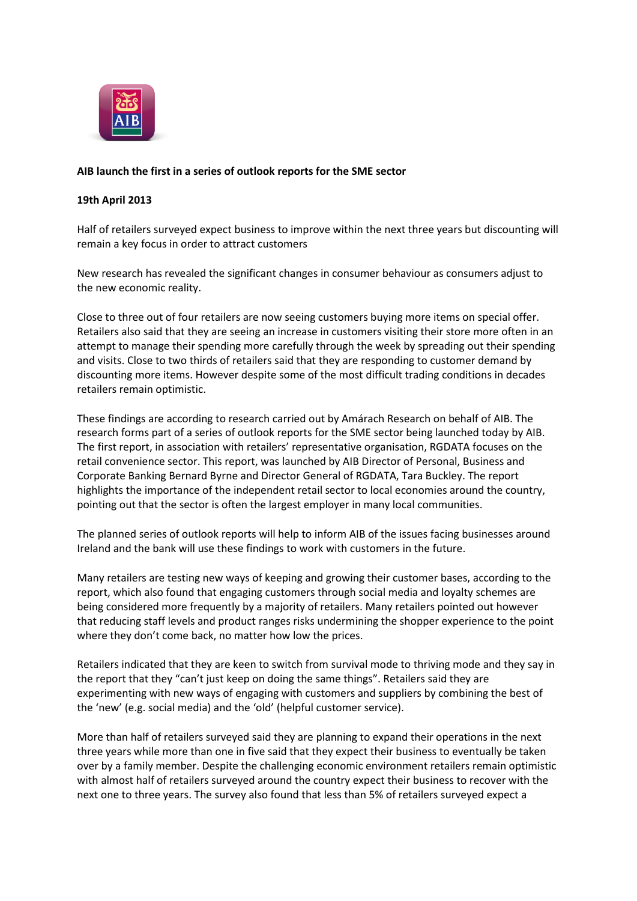

## **AIB launch the first in a series of outlook reports for the SME sector**

## **19th April 2013**

Half of retailers surveyed expect business to improve within the next three years but discounting will remain a key focus in order to attract customers

New research has revealed the significant changes in consumer behaviour as consumers adjust to the new economic reality.

Close to three out of four retailers are now seeing customers buying more items on special offer. Retailers also said that they are seeing an increase in customers visiting their store more often in an attempt to manage their spending more carefully through the week by spreading out their spending and visits. Close to two thirds of retailers said that they are responding to customer demand by discounting more items. However despite some of the most difficult trading conditions in decades retailers remain optimistic.

These findings are according to research carried out by Amárach Research on behalf of AIB. The research forms part of a series of outlook reports for the SME sector being launched today by AIB. The first report, in association with retailers' representative organisation, RGDATA focuses on the retail convenience sector. This report, was launched by AIB Director of Personal, Business and Corporate Banking Bernard Byrne and Director General of RGDATA, Tara Buckley. The report highlights the importance of the independent retail sector to local economies around the country, pointing out that the sector is often the largest employer in many local communities.

The planned series of outlook reports will help to inform AIB of the issues facing businesses around Ireland and the bank will use these findings to work with customers in the future.

Many retailers are testing new ways of keeping and growing their customer bases, according to the report, which also found that engaging customers through social media and loyalty schemes are being considered more frequently by a majority of retailers. Many retailers pointed out however that reducing staff levels and product ranges risks undermining the shopper experience to the point where they don't come back, no matter how low the prices.

Retailers indicated that they are keen to switch from survival mode to thriving mode and they say in the report that they "can't just keep on doing the same things". Retailers said they are experimenting with new ways of engaging with customers and suppliers by combining the best of the 'new' (e.g. social media) and the 'old' (helpful customer service).

More than half of retailers surveyed said they are planning to expand their operations in the next three years while more than one in five said that they expect their business to eventually be taken over by a family member. Despite the challenging economic environment retailers remain optimistic with almost half of retailers surveyed around the country expect their business to recover with the next one to three years. The survey also found that less than 5% of retailers surveyed expect a